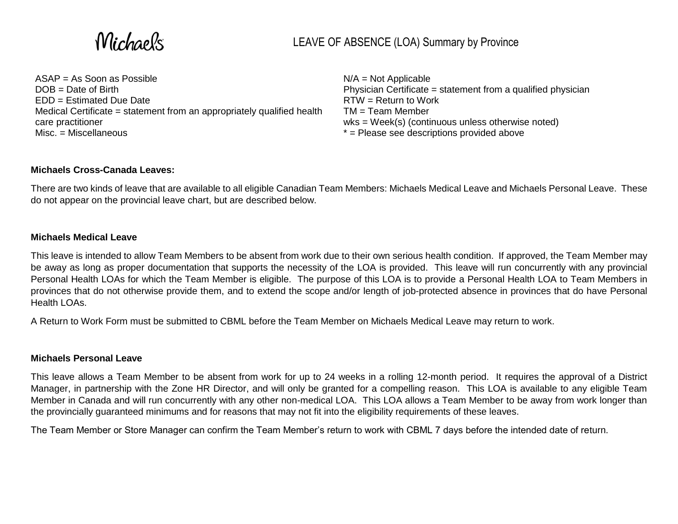Michaels

ASAP = As Soon as Possible DOB = Date of Birth EDD = Estimated Due Date Medical Certificate = statement from an appropriately qualified health care practitioner Misc. = Miscellaneous

 $N/A = Not Applicable$ Physician Certificate = statement from a qualified physician RTW = Return to Work  $TM = Team$  Member wks = Week(s) (continuous unless otherwise noted) \* = Please see descriptions provided above

#### **Michaels Cross-Canada Leaves:**

There are two kinds of leave that are available to all eligible Canadian Team Members: Michaels Medical Leave and Michaels Personal Leave. These do not appear on the provincial leave chart, but are described below.

#### **Michaels Medical Leave**

This leave is intended to allow Team Members to be absent from work due to their own serious health condition. If approved, the Team Member may be away as long as proper documentation that supports the necessity of the LOA is provided. This leave will run concurrently with any provincial Personal Health LOAs for which the Team Member is eligible. The purpose of this LOA is to provide a Personal Health LOA to Team Members in provinces that do not otherwise provide them, and to extend the scope and/or length of job-protected absence in provinces that do have Personal Health LOAs.

A Return to Work Form must be submitted to CBML before the Team Member on Michaels Medical Leave may return to work.

#### **Michaels Personal Leave**

This leave allows a Team Member to be absent from work for up to 24 weeks in a rolling 12-month period. It requires the approval of a District Manager, in partnership with the Zone HR Director, and will only be granted for a compelling reason. This LOA is available to any eligible Team Member in Canada and will run concurrently with any other non-medical LOA. This LOA allows a Team Member to be away from work longer than the provincially guaranteed minimums and for reasons that may not fit into the eligibility requirements of these leaves.

The Team Member or Store Manager can confirm the Team Member's return to work with CBML 7 days before the intended date of return.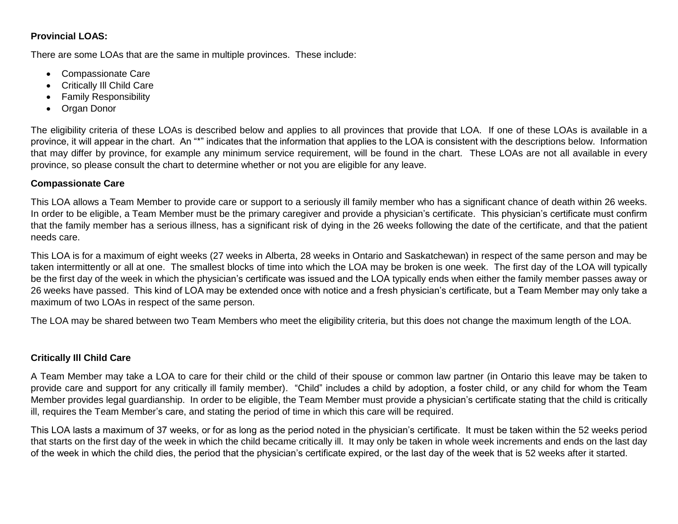## **Provincial LOAS:**

There are some LOAs that are the same in multiple provinces. These include:

- Compassionate Care
- Critically Ill Child Care
- Family Responsibility
- Organ Donor

The eligibility criteria of these LOAs is described below and applies to all provinces that provide that LOA. If one of these LOAs is available in a province, it will appear in the chart. An "\*" indicates that the information that applies to the LOA is consistent with the descriptions below. Information that may differ by province, for example any minimum service requirement, will be found in the chart. These LOAs are not all available in every province, so please consult the chart to determine whether or not you are eligible for any leave.

#### **Compassionate Care**

This LOA allows a Team Member to provide care or support to a seriously ill family member who has a significant chance of death within 26 weeks. In order to be eligible, a Team Member must be the primary caregiver and provide a physician's certificate. This physician's certificate must confirm that the family member has a serious illness, has a significant risk of dying in the 26 weeks following the date of the certificate, and that the patient needs care.

This LOA is for a maximum of eight weeks (27 weeks in Alberta, 28 weeks in Ontario and Saskatchewan) in respect of the same person and may be taken intermittently or all at one. The smallest blocks of time into which the LOA may be broken is one week. The first day of the LOA will typically be the first day of the week in which the physician's certificate was issued and the LOA typically ends when either the family member passes away or 26 weeks have passed. This kind of LOA may be extended once with notice and a fresh physician's certificate, but a Team Member may only take a maximum of two LOAs in respect of the same person.

The LOA may be shared between two Team Members who meet the eligibility criteria, but this does not change the maximum length of the LOA.

# **Critically Ill Child Care**

A Team Member may take a LOA to care for their child or the child of their spouse or common law partner (in Ontario this leave may be taken to provide care and support for any critically ill family member). "Child" includes a child by adoption, a foster child, or any child for whom the Team Member provides legal guardianship. In order to be eligible, the Team Member must provide a physician's certificate stating that the child is critically ill, requires the Team Member's care, and stating the period of time in which this care will be required.

This LOA lasts a maximum of 37 weeks, or for as long as the period noted in the physician's certificate. It must be taken within the 52 weeks period that starts on the first day of the week in which the child became critically ill. It may only be taken in whole week increments and ends on the last day of the week in which the child dies, the period that the physician's certificate expired, or the last day of the week that is 52 weeks after it started.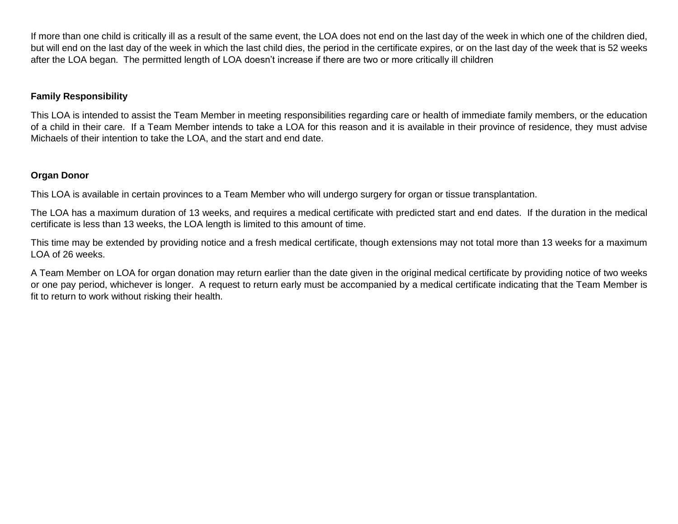If more than one child is critically ill as a result of the same event, the LOA does not end on the last day of the week in which one of the children died, but will end on the last day of the week in which the last child dies, the period in the certificate expires, or on the last day of the week that is 52 weeks after the LOA began. The permitted length of LOA doesn't increase if there are two or more critically ill children

### **Family Responsibility**

This LOA is intended to assist the Team Member in meeting responsibilities regarding care or health of immediate family members, or the education of a child in their care. If a Team Member intends to take a LOA for this reason and it is available in their province of residence, they must advise Michaels of their intention to take the LOA, and the start and end date.

#### **Organ Donor**

This LOA is available in certain provinces to a Team Member who will undergo surgery for organ or tissue transplantation.

The LOA has a maximum duration of 13 weeks, and requires a medical certificate with predicted start and end dates. If the duration in the medical certificate is less than 13 weeks, the LOA length is limited to this amount of time.

This time may be extended by providing notice and a fresh medical certificate, though extensions may not total more than 13 weeks for a maximum LOA of 26 weeks.

A Team Member on LOA for organ donation may return earlier than the date given in the original medical certificate by providing notice of two weeks or one pay period, whichever is longer. A request to return early must be accompanied by a medical certificate indicating that the Team Member is fit to return to work without risking their health.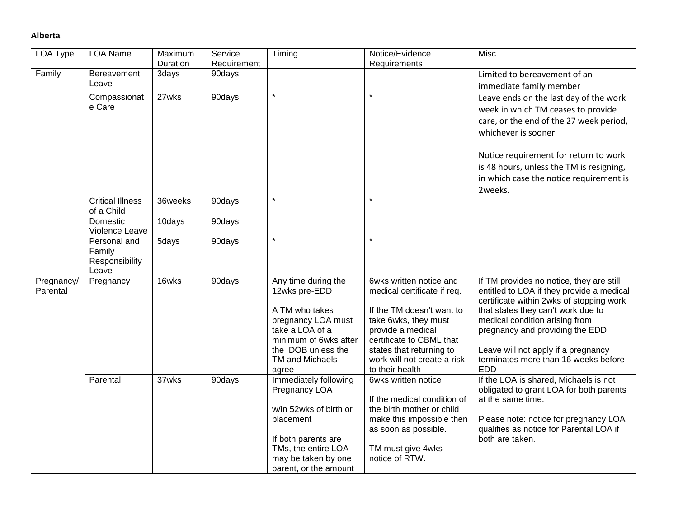#### **Alberta**

| LOA Type               | <b>LOA Name</b>                                   | Maximum<br>Duration | Service<br>Requirement | Timing                                                                                                                                                                      | Notice/Evidence<br>Requirements                                                                                                                                                                                                            | Misc.                                                                                                                                                                                                                                                                                                                                     |
|------------------------|---------------------------------------------------|---------------------|------------------------|-----------------------------------------------------------------------------------------------------------------------------------------------------------------------------|--------------------------------------------------------------------------------------------------------------------------------------------------------------------------------------------------------------------------------------------|-------------------------------------------------------------------------------------------------------------------------------------------------------------------------------------------------------------------------------------------------------------------------------------------------------------------------------------------|
| Family                 | Bereavement<br>Leave                              | 3days               | 90days                 |                                                                                                                                                                             |                                                                                                                                                                                                                                            | Limited to bereavement of an<br>immediate family member                                                                                                                                                                                                                                                                                   |
|                        | Compassionat<br>e Care                            | 27wks               | 90days                 |                                                                                                                                                                             | $\star$                                                                                                                                                                                                                                    | Leave ends on the last day of the work<br>week in which TM ceases to provide<br>care, or the end of the 27 week period,<br>whichever is sooner<br>Notice requirement for return to work<br>is 48 hours, unless the TM is resigning,<br>in which case the notice requirement is<br>2weeks.                                                 |
|                        | <b>Critical Illness</b><br>of a Child             | 36weeks             | 90days                 | $\star$                                                                                                                                                                     | $\star$                                                                                                                                                                                                                                    |                                                                                                                                                                                                                                                                                                                                           |
|                        | Domestic<br>Violence Leave                        | 10days              | 90days                 |                                                                                                                                                                             |                                                                                                                                                                                                                                            |                                                                                                                                                                                                                                                                                                                                           |
|                        | Personal and<br>Family<br>Responsibility<br>Leave | 5days               | 90days                 | $\star$                                                                                                                                                                     | $\star$                                                                                                                                                                                                                                    |                                                                                                                                                                                                                                                                                                                                           |
| Pregnancy/<br>Parental | Pregnancy                                         | 16wks               | 90days                 | Any time during the<br>12wks pre-EDD<br>A TM who takes<br>pregnancy LOA must<br>take a LOA of a<br>minimum of 6wks after<br>the DOB unless the<br>TM and Michaels<br>agree  | 6wks written notice and<br>medical certificate if req.<br>If the TM doesn't want to<br>take 6wks, they must<br>provide a medical<br>certificate to CBML that<br>states that returning to<br>work will not create a risk<br>to their health | If TM provides no notice, they are still<br>entitled to LOA if they provide a medical<br>certificate within 2wks of stopping work<br>that states they can't work due to<br>medical condition arising from<br>pregnancy and providing the EDD<br>Leave will not apply if a pregnancy<br>terminates more than 16 weeks before<br><b>EDD</b> |
|                        | Parental                                          | 37wks               | 90days                 | Immediately following<br>Pregnancy LOA<br>w/in 52wks of birth or<br>placement<br>If both parents are<br>TMs, the entire LOA<br>may be taken by one<br>parent, or the amount | 6wks written notice<br>If the medical condition of<br>the birth mother or child<br>make this impossible then<br>as soon as possible.<br>TM must give 4wks<br>notice of RTW.                                                                | If the LOA is shared, Michaels is not<br>obligated to grant LOA for both parents<br>at the same time.<br>Please note: notice for pregnancy LOA<br>qualifies as notice for Parental LOA if<br>both are taken.                                                                                                                              |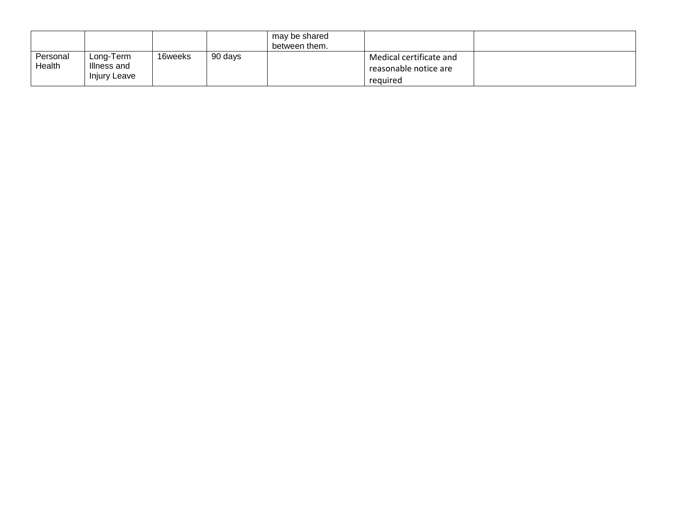|                    |                                                 |         |         | may be shared<br>between them. |                                                              |  |
|--------------------|-------------------------------------------------|---------|---------|--------------------------------|--------------------------------------------------------------|--|
| Personal<br>Health | Long-Term<br>Illness and<br><b>Injury Leave</b> | 16weeks | 90 days |                                | Medical certificate and<br>reasonable notice are<br>required |  |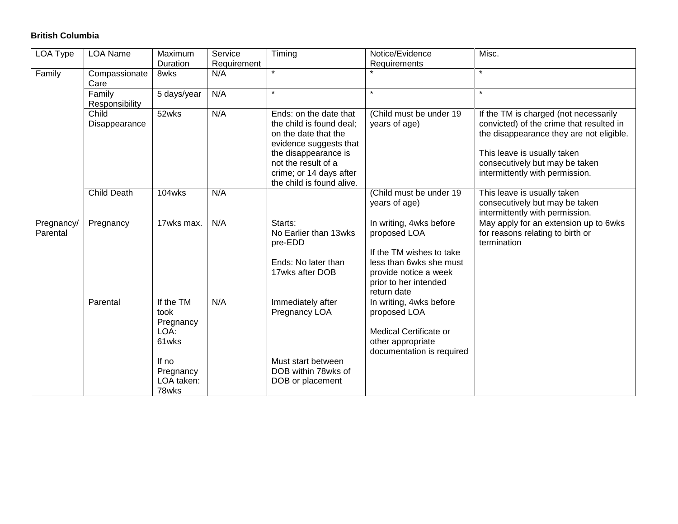## **British Columbia**

| LOA Type               | <b>LOA Name</b>          | Maximum<br>Duration                                                                          | Service            | Timing                                                                                                                                                                                                      | Notice/Evidence                                                                                                                                                 | Misc.                                                                                                                                                                                                                             |
|------------------------|--------------------------|----------------------------------------------------------------------------------------------|--------------------|-------------------------------------------------------------------------------------------------------------------------------------------------------------------------------------------------------------|-----------------------------------------------------------------------------------------------------------------------------------------------------------------|-----------------------------------------------------------------------------------------------------------------------------------------------------------------------------------------------------------------------------------|
| Family                 | Compassionate<br>Care    | 8wks                                                                                         | Requirement<br>N/A | $\star$                                                                                                                                                                                                     | Requirements                                                                                                                                                    | $\star$                                                                                                                                                                                                                           |
|                        | Family<br>Responsibility | 5 days/year                                                                                  | N/A                | $\star$                                                                                                                                                                                                     | $\star$                                                                                                                                                         | $\star$                                                                                                                                                                                                                           |
|                        | Child<br>Disappearance   | 52wks                                                                                        | N/A                | Ends: on the date that<br>the child is found deal;<br>on the date that the<br>evidence suggests that<br>the disappearance is<br>not the result of a<br>crime; or 14 days after<br>the child is found alive. | (Child must be under 19<br>years of age)                                                                                                                        | If the TM is charged (not necessarily<br>convicted) of the crime that resulted in<br>the disappearance they are not eligible.<br>This leave is usually taken<br>consecutively but may be taken<br>intermittently with permission. |
|                        | <b>Child Death</b>       | 104wks                                                                                       | N/A                |                                                                                                                                                                                                             | (Child must be under 19<br>years of age)                                                                                                                        | This leave is usually taken<br>consecutively but may be taken<br>intermittently with permission.                                                                                                                                  |
| Pregnancy/<br>Parental | Pregnancy                | 17wks max.                                                                                   | N/A                | Starts:<br>No Earlier than 13wks<br>pre-EDD<br>Ends: No later than<br>17wks after DOB                                                                                                                       | In writing, 4wks before<br>proposed LOA<br>If the TM wishes to take<br>less than 6wks she must<br>provide notice a week<br>prior to her intended<br>return date | May apply for an extension up to 6wks<br>for reasons relating to birth or<br>termination                                                                                                                                          |
|                        | Parental                 | If the TM<br>took<br>Pregnancy<br>LOA:<br>61wks<br>If no<br>Pregnancy<br>LOA taken:<br>78wks | N/A                | Immediately after<br>Pregnancy LOA<br>Must start between<br>DOB within 78wks of<br>DOB or placement                                                                                                         | In writing, 4wks before<br>proposed LOA<br><b>Medical Certificate or</b><br>other appropriate<br>documentation is required                                      |                                                                                                                                                                                                                                   |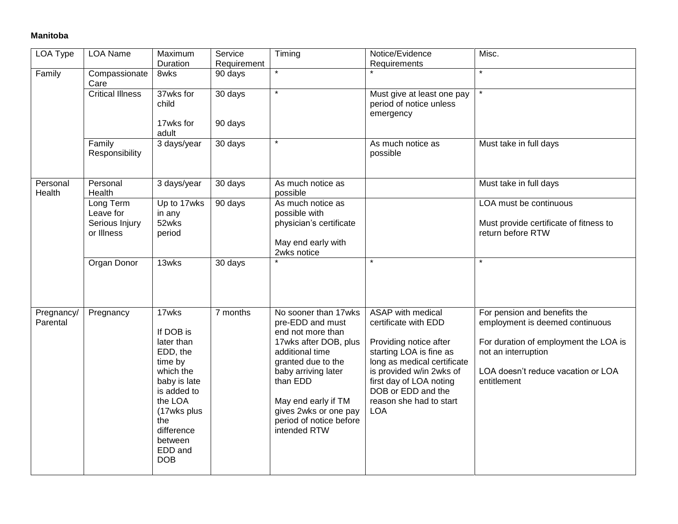## **Manitoba**

| LOA Type               | <b>LOA Name</b>                                        | Maximum<br>Duration                                                                                                                                                                    | Service<br>Requirement | Timing                                                                                                                                                                                                                                                        | Notice/Evidence<br>Requirements                                                                                                                                                                                                                     | Misc.                                                                                                                                                                                |
|------------------------|--------------------------------------------------------|----------------------------------------------------------------------------------------------------------------------------------------------------------------------------------------|------------------------|---------------------------------------------------------------------------------------------------------------------------------------------------------------------------------------------------------------------------------------------------------------|-----------------------------------------------------------------------------------------------------------------------------------------------------------------------------------------------------------------------------------------------------|--------------------------------------------------------------------------------------------------------------------------------------------------------------------------------------|
| Family                 | Compassionate<br>Care                                  | 8wks                                                                                                                                                                                   | 90 days                | $\star$                                                                                                                                                                                                                                                       |                                                                                                                                                                                                                                                     | $\star$                                                                                                                                                                              |
|                        | <b>Critical Illness</b>                                | 37wks for<br>child<br>17wks for                                                                                                                                                        | 30 days<br>90 days     | $\star$                                                                                                                                                                                                                                                       | Must give at least one pay<br>period of notice unless<br>emergency                                                                                                                                                                                  |                                                                                                                                                                                      |
|                        |                                                        | adult                                                                                                                                                                                  |                        |                                                                                                                                                                                                                                                               |                                                                                                                                                                                                                                                     |                                                                                                                                                                                      |
|                        | Family<br>Responsibility                               | 3 days/year                                                                                                                                                                            | 30 days                | $\star$                                                                                                                                                                                                                                                       | As much notice as<br>possible                                                                                                                                                                                                                       | Must take in full days                                                                                                                                                               |
| Personal<br>Health     | Personal<br>Health                                     | 3 days/year                                                                                                                                                                            | 30 days                | As much notice as<br>possible                                                                                                                                                                                                                                 |                                                                                                                                                                                                                                                     | Must take in full days                                                                                                                                                               |
|                        | Long Term<br>Leave for<br>Serious Injury<br>or Illness | Up to 17wks<br>in any<br>52wks<br>period                                                                                                                                               | 90 days                | As much notice as<br>possible with<br>physician's certificate<br>May end early with<br>2wks notice                                                                                                                                                            |                                                                                                                                                                                                                                                     | LOA must be continuous<br>Must provide certificate of fitness to<br>return before RTW                                                                                                |
|                        | Organ Donor                                            | 13wks                                                                                                                                                                                  | 30 days                |                                                                                                                                                                                                                                                               | $\star$                                                                                                                                                                                                                                             | $\star$                                                                                                                                                                              |
| Pregnancy/<br>Parental | Pregnancy                                              | 17wks<br>If DOB is<br>later than<br>EDD, the<br>time by<br>which the<br>baby is late<br>is added to<br>the LOA<br>(17wks plus<br>the<br>difference<br>between<br>EDD and<br><b>DOB</b> | 7 months               | No sooner than 17wks<br>pre-EDD and must<br>end not more than<br>17wks after DOB, plus<br>additional time<br>granted due to the<br>baby arriving later<br>than EDD<br>May end early if TM<br>gives 2wks or one pay<br>period of notice before<br>intended RTW | ASAP with medical<br>certificate with EDD<br>Providing notice after<br>starting LOA is fine as<br>long as medical certificate<br>is provided w/in 2wks of<br>first day of LOA noting<br>DOB or EDD and the<br>reason she had to start<br><b>LOA</b> | For pension and benefits the<br>employment is deemed continuous<br>For duration of employment the LOA is<br>not an interruption<br>LOA doesn't reduce vacation or LOA<br>entitlement |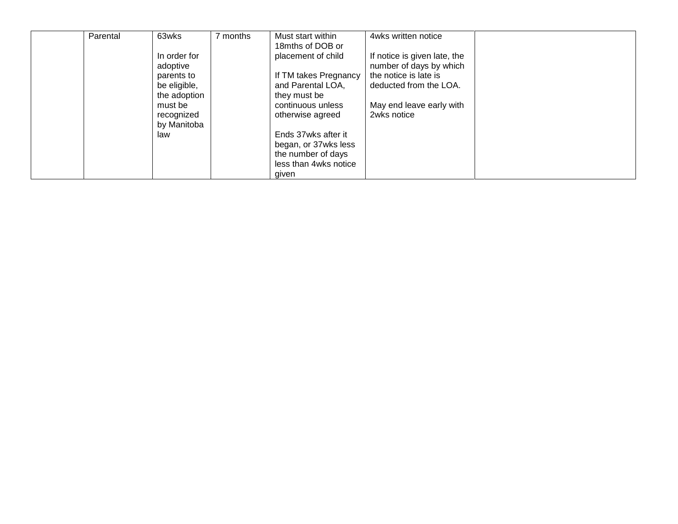| Parental | 63wks        | months | Must start within     | 4wks written notice          |  |
|----------|--------------|--------|-----------------------|------------------------------|--|
|          |              |        | 18mths of DOB or      |                              |  |
|          | In order for |        | placement of child    | If notice is given late, the |  |
|          | adoptive     |        |                       | number of days by which      |  |
|          | parents to   |        | If TM takes Pregnancy | the notice is late is        |  |
|          | be eligible, |        | and Parental LOA,     | deducted from the LOA.       |  |
|          | the adoption |        | they must be          |                              |  |
|          | must be      |        | continuous unless     | May end leave early with     |  |
|          | recognized   |        | otherwise agreed      | 2wks notice                  |  |
|          | by Manitoba  |        |                       |                              |  |
|          | law          |        | Ends 37wks after it   |                              |  |
|          |              |        | began, or 37wks less  |                              |  |
|          |              |        | the number of days    |                              |  |
|          |              |        | less than 4wks notice |                              |  |
|          |              |        | given                 |                              |  |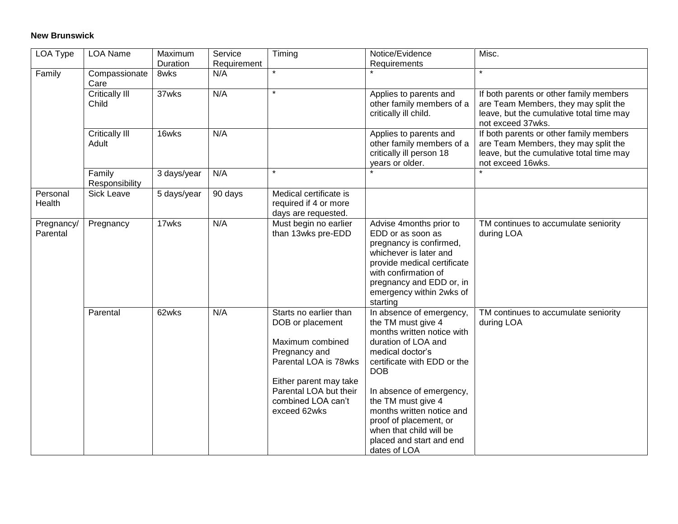## **New Brunswick**

| <b>LOA Type</b>        | <b>LOA Name</b>                | Maximum          | Service            | Timing                                                                                                                                                                                             | Notice/Evidence                                                                                                                                                                                                                                                                                                                                      | Misc.                                                                                                                                            |
|------------------------|--------------------------------|------------------|--------------------|----------------------------------------------------------------------------------------------------------------------------------------------------------------------------------------------------|------------------------------------------------------------------------------------------------------------------------------------------------------------------------------------------------------------------------------------------------------------------------------------------------------------------------------------------------------|--------------------------------------------------------------------------------------------------------------------------------------------------|
| Family                 | Compassionate<br>Care          | Duration<br>8wks | Requirement<br>N/A | $\star$                                                                                                                                                                                            | Requirements                                                                                                                                                                                                                                                                                                                                         | $\star$                                                                                                                                          |
|                        | Critically III<br>Child        | 37wks            | N/A                | $\star$                                                                                                                                                                                            | Applies to parents and<br>other family members of a<br>critically ill child.                                                                                                                                                                                                                                                                         | If both parents or other family members<br>are Team Members, they may split the<br>leave, but the cumulative total time may<br>not exceed 37wks. |
|                        | <b>Critically III</b><br>Adult | 16wks            | N/A                |                                                                                                                                                                                                    | Applies to parents and<br>other family members of a<br>critically ill person 18<br>years or older.                                                                                                                                                                                                                                                   | If both parents or other family members<br>are Team Members, they may split the<br>leave, but the cumulative total time may<br>not exceed 16wks. |
|                        | Family<br>Responsibility       | 3 days/year      | N/A                |                                                                                                                                                                                                    |                                                                                                                                                                                                                                                                                                                                                      |                                                                                                                                                  |
| Personal<br>Health     | Sick Leave                     | 5 days/year      | 90 days            | Medical certificate is<br>required if 4 or more<br>days are requested.                                                                                                                             |                                                                                                                                                                                                                                                                                                                                                      |                                                                                                                                                  |
| Pregnancy/<br>Parental | Pregnancy                      | 17wks            | N/A                | Must begin no earlier<br>than 13wks pre-EDD                                                                                                                                                        | Advise 4months prior to<br>EDD or as soon as<br>pregnancy is confirmed,<br>whichever is later and<br>provide medical certificate<br>with confirmation of<br>pregnancy and EDD or, in<br>emergency within 2wks of<br>starting                                                                                                                         | TM continues to accumulate seniority<br>during LOA                                                                                               |
|                        | Parental                       | 62wks            | N/A                | Starts no earlier than<br>DOB or placement<br>Maximum combined<br>Pregnancy and<br>Parental LOA is 78wks<br>Either parent may take<br>Parental LOA but their<br>combined LOA can't<br>exceed 62wks | In absence of emergency,<br>the TM must give 4<br>months written notice with<br>duration of LOA and<br>medical doctor's<br>certificate with EDD or the<br><b>DOB</b><br>In absence of emergency,<br>the TM must give 4<br>months written notice and<br>proof of placement, or<br>when that child will be<br>placed and start and end<br>dates of LOA | TM continues to accumulate seniority<br>during LOA                                                                                               |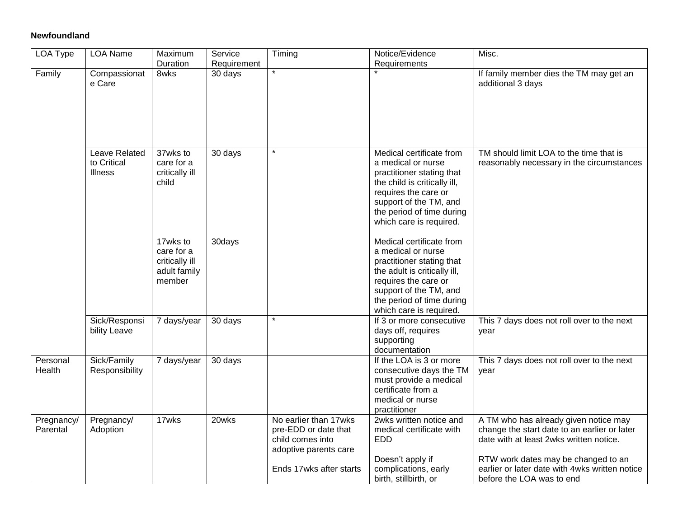### **Newfoundland**

| LOA Type               | LOA Name                                       | Maximum<br>Duration                                                | Service<br>Requirement | Timing                                                                                                                | Notice/Evidence<br>Requirements                                                                                                                                                                                       | Misc.                                                                                                                                                                                                                                                  |
|------------------------|------------------------------------------------|--------------------------------------------------------------------|------------------------|-----------------------------------------------------------------------------------------------------------------------|-----------------------------------------------------------------------------------------------------------------------------------------------------------------------------------------------------------------------|--------------------------------------------------------------------------------------------------------------------------------------------------------------------------------------------------------------------------------------------------------|
| Family                 | Compassionat<br>e Care                         | 8wks                                                               | 30 days                | $\star$                                                                                                               |                                                                                                                                                                                                                       | If family member dies the TM may get an<br>additional 3 days                                                                                                                                                                                           |
|                        | Leave Related<br>to Critical<br><b>Illness</b> | 37wks to<br>care for a<br>critically ill<br>child                  | 30 days                |                                                                                                                       | Medical certificate from<br>a medical or nurse<br>practitioner stating that<br>the child is critically ill,<br>requires the care or<br>support of the TM, and<br>the period of time during<br>which care is required. | TM should limit LOA to the time that is<br>reasonably necessary in the circumstances                                                                                                                                                                   |
|                        |                                                | 17wks to<br>care for a<br>critically ill<br>adult family<br>member | 30days                 |                                                                                                                       | Medical certificate from<br>a medical or nurse<br>practitioner stating that<br>the adult is critically ill,<br>requires the care or<br>support of the TM, and<br>the period of time during<br>which care is required. |                                                                                                                                                                                                                                                        |
|                        | Sick/Responsi<br>bility Leave                  | 7 days/year                                                        | 30 days                | $\star$                                                                                                               | If 3 or more consecutive<br>days off, requires<br>supporting<br>documentation                                                                                                                                         | This 7 days does not roll over to the next<br>year                                                                                                                                                                                                     |
| Personal<br>Health     | Sick/Family<br>Responsibility                  | 7 days/year                                                        | 30 days                |                                                                                                                       | If the LOA is 3 or more<br>consecutive days the TM<br>must provide a medical<br>certificate from a<br>medical or nurse<br>practitioner                                                                                | This 7 days does not roll over to the next<br>year                                                                                                                                                                                                     |
| Pregnancy/<br>Parental | Pregnancy/<br>Adoption                         | 17wks                                                              | 20wks                  | No earlier than 17wks<br>pre-EDD or date that<br>child comes into<br>adoptive parents care<br>Ends 17wks after starts | 2wks written notice and<br>medical certificate with<br><b>EDD</b><br>Doesn't apply if<br>complications, early<br>birth, stillbirth, or                                                                                | A TM who has already given notice may<br>change the start date to an earlier or later<br>date with at least 2wks written notice.<br>RTW work dates may be changed to an<br>earlier or later date with 4wks written notice<br>before the LOA was to end |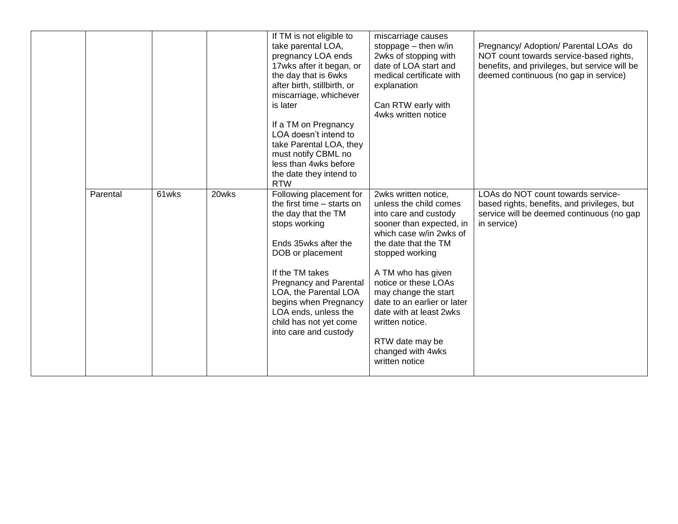|          |       |       | If TM is not eligible to<br>take parental LOA,<br>pregnancy LOA ends<br>17wks after it began, or<br>the day that is 6wks<br>after birth, stillbirth, or<br>miscarriage, whichever<br>is later<br>If a TM on Pregnancy<br>LOA doesn't intend to<br>take Parental LOA, they<br>must notify CBML no<br>less than 4wks before<br>the date they intend to<br><b>RTW</b> | miscarriage causes<br>stoppage - then w/in<br>2wks of stopping with<br>date of LOA start and<br>medical certificate with<br>explanation<br>Can RTW early with<br>4wks written notice                                                                                                                                                                                                   | Pregnancy/ Adoption/ Parental LOAs do<br>NOT count towards service-based rights,<br>benefits, and privileges, but service will be<br>deemed continuous (no gap in service) |
|----------|-------|-------|--------------------------------------------------------------------------------------------------------------------------------------------------------------------------------------------------------------------------------------------------------------------------------------------------------------------------------------------------------------------|----------------------------------------------------------------------------------------------------------------------------------------------------------------------------------------------------------------------------------------------------------------------------------------------------------------------------------------------------------------------------------------|----------------------------------------------------------------------------------------------------------------------------------------------------------------------------|
| Parental | 61wks | 20wks | Following placement for<br>the first time – starts on<br>the day that the TM<br>stops working<br>Ends 35wks after the<br>DOB or placement<br>If the TM takes<br><b>Pregnancy and Parental</b><br>LOA, the Parental LOA<br>begins when Pregnancy<br>LOA ends, unless the<br>child has not yet come<br>into care and custody                                         | 2wks written notice,<br>unless the child comes<br>into care and custody<br>sooner than expected, in<br>which case w/in 2wks of<br>the date that the TM<br>stopped working<br>A TM who has given<br>notice or these LOAs<br>may change the start<br>date to an earlier or later<br>date with at least 2wks<br>written notice.<br>RTW date may be<br>changed with 4wks<br>written notice | LOAs do NOT count towards service-<br>based rights, benefits, and privileges, but<br>service will be deemed continuous (no gap<br>in service)                              |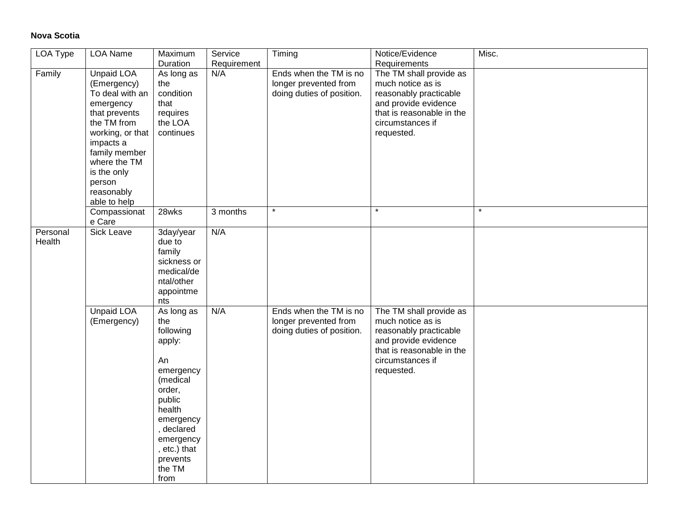## **Nova Scotia**

| LOA Type           | <b>LOA Name</b>                                                                                                                                                                                                           | Maximum<br>Duration                                                                                                                                                                         | Service<br>Requirement | Timing                                                                       | Notice/Evidence<br>Requirements                                                                                                                               | Misc.   |
|--------------------|---------------------------------------------------------------------------------------------------------------------------------------------------------------------------------------------------------------------------|---------------------------------------------------------------------------------------------------------------------------------------------------------------------------------------------|------------------------|------------------------------------------------------------------------------|---------------------------------------------------------------------------------------------------------------------------------------------------------------|---------|
| Family             | <b>Unpaid LOA</b><br>(Emergency)<br>To deal with an<br>emergency<br>that prevents<br>the TM from<br>working, or that<br>impacts a<br>family member<br>where the TM<br>is the only<br>person<br>reasonably<br>able to help | As long as<br>the<br>condition<br>that<br>requires<br>the LOA<br>continues                                                                                                                  | N/A                    | Ends when the TM is no<br>longer prevented from<br>doing duties of position. | The TM shall provide as<br>much notice as is<br>reasonably practicable<br>and provide evidence<br>that is reasonable in the<br>circumstances if<br>requested. |         |
|                    | Compassionat<br>e Care                                                                                                                                                                                                    | $28w$ ks                                                                                                                                                                                    | 3 months               | $\star$                                                                      | $\star$                                                                                                                                                       | $\star$ |
| Personal<br>Health | <b>Sick Leave</b>                                                                                                                                                                                                         | 3day/year<br>due to<br>family<br>sickness or<br>medical/de<br>ntal/other<br>appointme<br>nts                                                                                                | N/A                    |                                                                              |                                                                                                                                                               |         |
|                    | <b>Unpaid LOA</b><br>(Emergency)                                                                                                                                                                                          | As long as<br>the<br>following<br>apply:<br>An<br>emergency<br>(medical<br>order,<br>public<br>health<br>emergency<br>, declared<br>emergency<br>, etc.) that<br>prevents<br>the TM<br>from | N/A                    | Ends when the TM is no<br>longer prevented from<br>doing duties of position. | The TM shall provide as<br>much notice as is<br>reasonably practicable<br>and provide evidence<br>that is reasonable in the<br>circumstances if<br>requested. |         |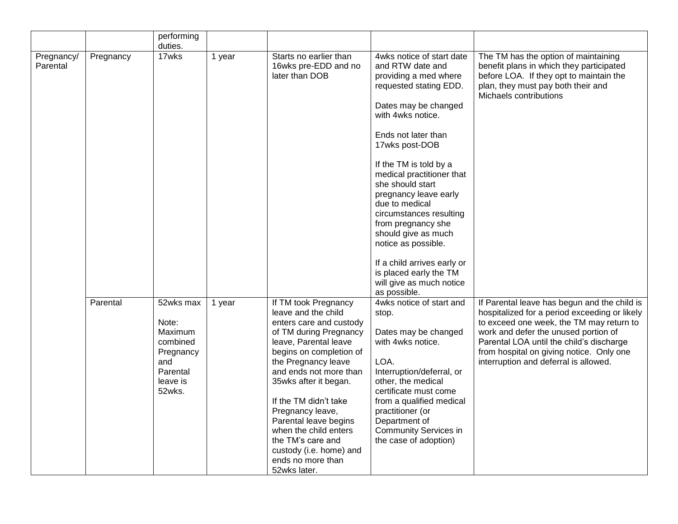|                        |           | performing<br>duties.                                                                           |        |                                                                                                                                                                                                                                                                                                                                                                                                                    |                                                                                                                                                                                                                                                                                                                                                                                                                                                                                                                  |                                                                                                                                                                                                                                                                                                                    |
|------------------------|-----------|-------------------------------------------------------------------------------------------------|--------|--------------------------------------------------------------------------------------------------------------------------------------------------------------------------------------------------------------------------------------------------------------------------------------------------------------------------------------------------------------------------------------------------------------------|------------------------------------------------------------------------------------------------------------------------------------------------------------------------------------------------------------------------------------------------------------------------------------------------------------------------------------------------------------------------------------------------------------------------------------------------------------------------------------------------------------------|--------------------------------------------------------------------------------------------------------------------------------------------------------------------------------------------------------------------------------------------------------------------------------------------------------------------|
| Pregnancy/<br>Parental | Pregnancy | 17wks                                                                                           | 1 year | Starts no earlier than<br>16wks pre-EDD and no<br>later than DOB                                                                                                                                                                                                                                                                                                                                                   | 4wks notice of start date<br>and RTW date and<br>providing a med where<br>requested stating EDD.<br>Dates may be changed<br>with 4wks notice.<br>Ends not later than<br>17wks post-DOB<br>If the TM is told by a<br>medical practitioner that<br>she should start<br>pregnancy leave early<br>due to medical<br>circumstances resulting<br>from pregnancy she<br>should give as much<br>notice as possible.<br>If a child arrives early or<br>is placed early the TM<br>will give as much notice<br>as possible. | The TM has the option of maintaining<br>benefit plans in which they participated<br>before LOA. If they opt to maintain the<br>plan, they must pay both their and<br>Michaels contributions                                                                                                                        |
|                        | Parental  | 52wks max<br>Note:<br>Maximum<br>combined<br>Pregnancy<br>and<br>Parental<br>leave is<br>52wks. | 1 year | If TM took Pregnancy<br>leave and the child<br>enters care and custody<br>of TM during Pregnancy<br>leave, Parental leave<br>begins on completion of<br>the Pregnancy leave<br>and ends not more than<br>35wks after it began.<br>If the TM didn't take<br>Pregnancy leave,<br>Parental leave begins<br>when the child enters<br>the TM's care and<br>custody (i.e. home) and<br>ends no more than<br>52wks later. | 4wks notice of start and<br>stop.<br>Dates may be changed<br>with 4wks notice.<br>LOA.<br>Interruption/deferral, or<br>other, the medical<br>certificate must come<br>from a qualified medical<br>practitioner (or<br>Department of<br><b>Community Services in</b><br>the case of adoption)                                                                                                                                                                                                                     | If Parental leave has begun and the child is<br>hospitalized for a period exceeding or likely<br>to exceed one week, the TM may return to<br>work and defer the unused portion of<br>Parental LOA until the child's discharge<br>from hospital on giving notice. Only one<br>interruption and deferral is allowed. |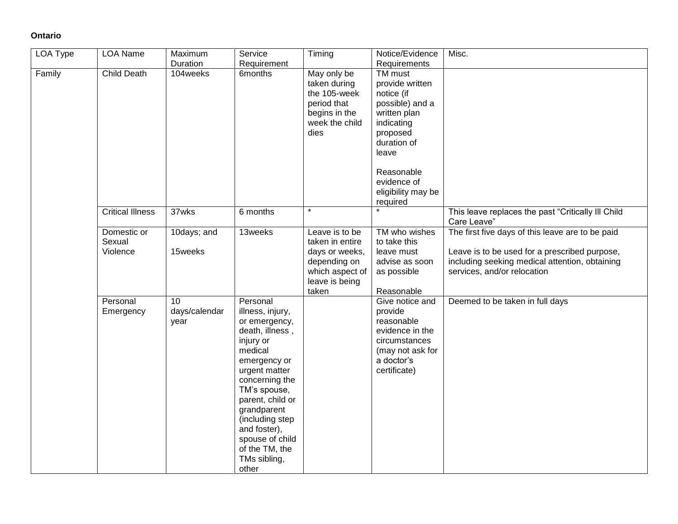# **Ontario**

| LOA Type | <b>LOA Name</b>                   | Maximum                     | Service                                                                                                                                                                                                                                                                                         | Timing                                                                                                            | Notice/Evidence                                                                                                                                                                                     | Misc.                                                                                                                                                                              |
|----------|-----------------------------------|-----------------------------|-------------------------------------------------------------------------------------------------------------------------------------------------------------------------------------------------------------------------------------------------------------------------------------------------|-------------------------------------------------------------------------------------------------------------------|-----------------------------------------------------------------------------------------------------------------------------------------------------------------------------------------------------|------------------------------------------------------------------------------------------------------------------------------------------------------------------------------------|
|          |                                   | Duration                    | Requirement                                                                                                                                                                                                                                                                                     |                                                                                                                   | Requirements                                                                                                                                                                                        |                                                                                                                                                                                    |
| Family   | <b>Child Death</b>                | 104weeks                    | 6 <sub>m</sub> onths                                                                                                                                                                                                                                                                            | May only be<br>taken during<br>the 105-week<br>period that<br>begins in the<br>week the child<br>dies             | <b>TM</b> must<br>provide written<br>notice (if<br>possible) and a<br>written plan<br>indicating<br>proposed<br>duration of<br>leave<br>Reasonable<br>evidence of<br>eligibility may be<br>required |                                                                                                                                                                                    |
|          | <b>Critical Illness</b>           | 37wks                       | 6 months                                                                                                                                                                                                                                                                                        | $\star$                                                                                                           |                                                                                                                                                                                                     | This leave replaces the past "Critically III Child<br>Care Leave"                                                                                                                  |
|          | Domestic or<br>Sexual<br>Violence | 10days; and<br>15weeks      | 13weeks                                                                                                                                                                                                                                                                                         | Leave is to be<br>taken in entire<br>days or weeks,<br>depending on<br>which aspect of<br>leave is being<br>taken | TM who wishes<br>to take this<br>leave must<br>advise as soon<br>as possible<br>Reasonable                                                                                                          | The first five days of this leave are to be paid<br>Leave is to be used for a prescribed purpose,<br>including seeking medical attention, obtaining<br>services, and/or relocation |
|          | Personal<br>Emergency             | 10<br>days/calendar<br>year | Personal<br>illness, injury,<br>or emergency,<br>death, illness,<br>injury or<br>medical<br>emergency or<br>urgent matter<br>concerning the<br>TM's spouse,<br>parent, child or<br>grandparent<br>(including step<br>and foster),<br>spouse of child<br>of the TM, the<br>TMs sibling,<br>other |                                                                                                                   | Give notice and<br>provide<br>reasonable<br>evidence in the<br>circumstances<br>(may not ask for<br>a doctor's<br>certificate)                                                                      | Deemed to be taken in full days                                                                                                                                                    |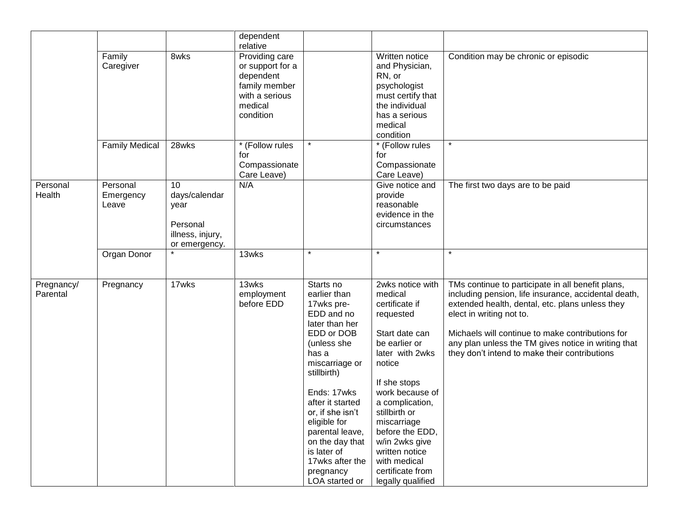|                        |                                |                                                                              | dependent<br>relative                                                                                      |                                                                                                                                                                                                                                                                                                                              |                                                                                                                                                                                                                                                                                                                                  |                                                                                                                                                                                                                                                                                                                                                      |
|------------------------|--------------------------------|------------------------------------------------------------------------------|------------------------------------------------------------------------------------------------------------|------------------------------------------------------------------------------------------------------------------------------------------------------------------------------------------------------------------------------------------------------------------------------------------------------------------------------|----------------------------------------------------------------------------------------------------------------------------------------------------------------------------------------------------------------------------------------------------------------------------------------------------------------------------------|------------------------------------------------------------------------------------------------------------------------------------------------------------------------------------------------------------------------------------------------------------------------------------------------------------------------------------------------------|
|                        | Family<br>Caregiver            | 8wks                                                                         | Providing care<br>or support for a<br>dependent<br>family member<br>with a serious<br>medical<br>condition |                                                                                                                                                                                                                                                                                                                              | Written notice<br>and Physician,<br>RN, or<br>psychologist<br>must certify that<br>the individual<br>has a serious<br>medical<br>condition                                                                                                                                                                                       | Condition may be chronic or episodic                                                                                                                                                                                                                                                                                                                 |
|                        | <b>Family Medical</b>          | 28wks                                                                        | * (Follow rules<br>for<br>Compassionate<br>Care Leave)                                                     |                                                                                                                                                                                                                                                                                                                              | * (Follow rules<br>for<br>Compassionate<br>Care Leave)                                                                                                                                                                                                                                                                           |                                                                                                                                                                                                                                                                                                                                                      |
| Personal<br>Health     | Personal<br>Emergency<br>Leave | 10<br>days/calendar<br>year<br>Personal<br>illness, injury,<br>or emergency. | N/A                                                                                                        |                                                                                                                                                                                                                                                                                                                              | Give notice and<br>provide<br>reasonable<br>evidence in the<br>circumstances                                                                                                                                                                                                                                                     | The first two days are to be paid                                                                                                                                                                                                                                                                                                                    |
|                        | Organ Donor                    |                                                                              | 13wks                                                                                                      | $\star$                                                                                                                                                                                                                                                                                                                      | $\star$                                                                                                                                                                                                                                                                                                                          |                                                                                                                                                                                                                                                                                                                                                      |
| Pregnancy/<br>Parental | Pregnancy                      | 17wks                                                                        | 13wks<br>employment<br>before EDD                                                                          | Starts no<br>earlier than<br>17wks pre-<br>EDD and no<br>later than her<br>EDD or DOB<br>(unless she<br>has a<br>miscarriage or<br>stillbirth)<br>Ends: 17wks<br>after it started<br>or, if she isn't<br>eligible for<br>parental leave,<br>on the day that<br>is later of<br>17wks after the<br>pregnancy<br>LOA started or | 2wks notice with<br>medical<br>certificate if<br>requested<br>Start date can<br>be earlier or<br>later with 2wks<br>notice<br>If she stops<br>work because of<br>a complication,<br>stillbirth or<br>miscarriage<br>before the EDD,<br>w/in 2wks give<br>written notice<br>with medical<br>certificate from<br>legally qualified | TMs continue to participate in all benefit plans,<br>including pension, life insurance, accidental death,<br>extended health, dental, etc. plans unless they<br>elect in writing not to.<br>Michaels will continue to make contributions for<br>any plan unless the TM gives notice in writing that<br>they don't intend to make their contributions |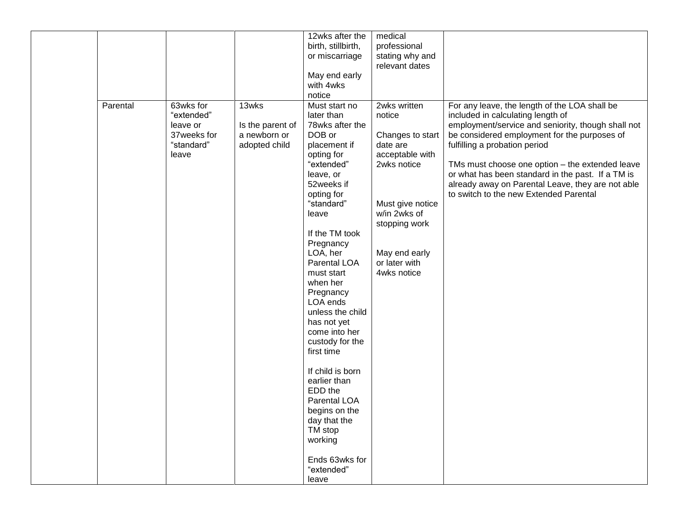|          |                                                                           |                                                            | 12wks after the<br>birth, stillbirth,<br>or miscarriage<br>May end early<br>with 4wks<br>notice                                                                                                                                                                                                                                                                                                                                                                                                                                        | medical<br>professional<br>stating why and<br>relevant dates                                                                                                                                   |                                                                                                                                                                                                                                                                                                                                                                                                                                  |
|----------|---------------------------------------------------------------------------|------------------------------------------------------------|----------------------------------------------------------------------------------------------------------------------------------------------------------------------------------------------------------------------------------------------------------------------------------------------------------------------------------------------------------------------------------------------------------------------------------------------------------------------------------------------------------------------------------------|------------------------------------------------------------------------------------------------------------------------------------------------------------------------------------------------|----------------------------------------------------------------------------------------------------------------------------------------------------------------------------------------------------------------------------------------------------------------------------------------------------------------------------------------------------------------------------------------------------------------------------------|
| Parental | 63wks for<br>"extended"<br>leave or<br>37weeks for<br>"standard"<br>leave | 13wks<br>Is the parent of<br>a newborn or<br>adopted child | Must start no<br>later than<br>78wks after the<br>DOB or<br>placement if<br>opting for<br>"extended"<br>leave, or<br>52weeks if<br>opting for<br>"standard"<br>leave<br>If the TM took<br>Pregnancy<br>LOA, her<br>Parental LOA<br>must start<br>when her<br>Pregnancy<br>LOA ends<br>unless the child<br>has not yet<br>come into her<br>custody for the<br>first time<br>If child is born<br>earlier than<br>EDD the<br>Parental LOA<br>begins on the<br>day that the<br>TM stop<br>working<br>Ends 63wks for<br>"extended"<br>leave | 2wks written<br>notice<br>Changes to start<br>date are<br>acceptable with<br>2wks notice<br>Must give notice<br>w/in 2wks of<br>stopping work<br>May end early<br>or later with<br>4wks notice | For any leave, the length of the LOA shall be<br>included in calculating length of<br>employment/service and seniority, though shall not<br>be considered employment for the purposes of<br>fulfilling a probation period<br>TMs must choose one option - the extended leave<br>or what has been standard in the past. If a TM is<br>already away on Parental Leave, they are not able<br>to switch to the new Extended Parental |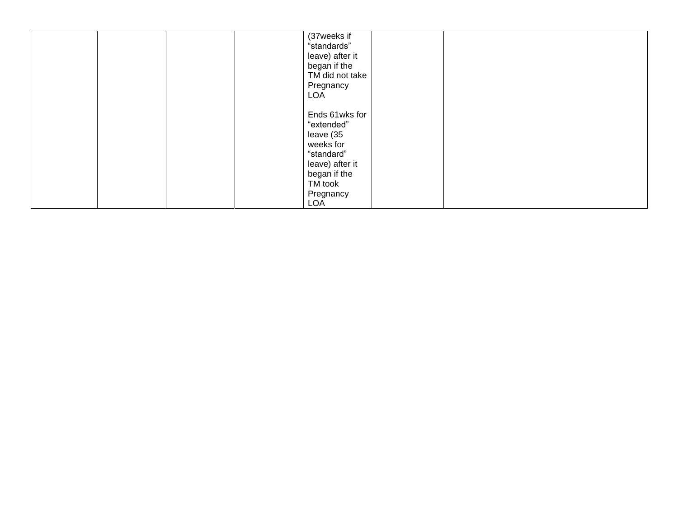|  | (37weeks if     |  |  |
|--|-----------------|--|--|
|  | "standards"     |  |  |
|  | leave) after it |  |  |
|  | began if the    |  |  |
|  | TM did not take |  |  |
|  | Pregnancy       |  |  |
|  |                 |  |  |
|  | <b>LOA</b>      |  |  |
|  |                 |  |  |
|  | Ends 61wks for  |  |  |
|  | "extended"      |  |  |
|  | leave (35       |  |  |
|  | weeks for       |  |  |
|  | "standard"      |  |  |
|  | leave) after it |  |  |
|  | began if the    |  |  |
|  | TM took         |  |  |
|  |                 |  |  |
|  | Pregnancy       |  |  |
|  | <b>LOA</b>      |  |  |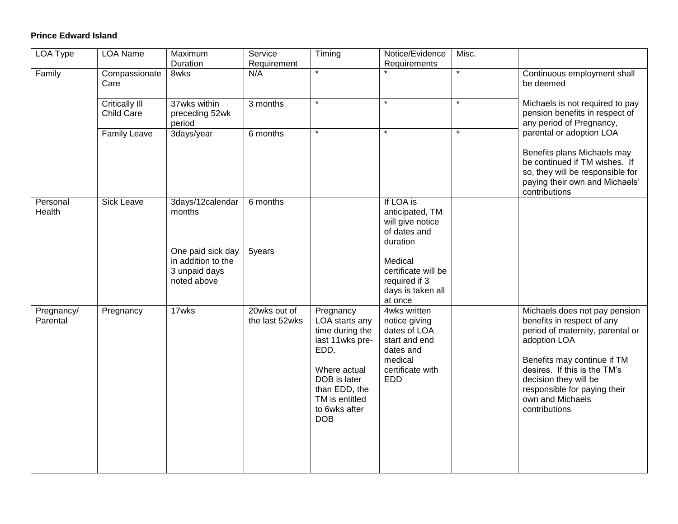## **Prince Edward Island**

| <b>LOA Type</b>        | <b>LOA Name</b>              | Maximum<br>Duration                                                                                   | Service<br>Requirement         | Timing                                                                                                                                                                      | Notice/Evidence<br>Requirements                                                                                                                                 | Misc.   |                                                                                                                                                                                                                                                                              |
|------------------------|------------------------------|-------------------------------------------------------------------------------------------------------|--------------------------------|-----------------------------------------------------------------------------------------------------------------------------------------------------------------------------|-----------------------------------------------------------------------------------------------------------------------------------------------------------------|---------|------------------------------------------------------------------------------------------------------------------------------------------------------------------------------------------------------------------------------------------------------------------------------|
| Family                 | Compassionate<br>Care        | 8wks                                                                                                  | N/A                            | $\star$                                                                                                                                                                     |                                                                                                                                                                 | $\star$ | Continuous employment shall<br>be deemed                                                                                                                                                                                                                                     |
|                        | Critically III<br>Child Care | 37wks within<br>preceding 52wk<br>period                                                              | 3 months                       | $\star$                                                                                                                                                                     | $\star$                                                                                                                                                         | $\star$ | Michaels is not required to pay<br>pension benefits in respect of<br>any period of Pregnancy,                                                                                                                                                                                |
|                        | <b>Family Leave</b>          | 3days/year                                                                                            | 6 months                       | $\star$                                                                                                                                                                     | $\star$                                                                                                                                                         | $\star$ | parental or adoption LOA<br>Benefits plans Michaels may<br>be continued if TM wishes. If<br>so, they will be responsible for<br>paying their own and Michaels'<br>contributions                                                                                              |
| Personal<br>Health     | <b>Sick Leave</b>            | 3days/12calendar<br>months<br>One paid sick day<br>in addition to the<br>3 unpaid days<br>noted above | 6 months<br>5years             |                                                                                                                                                                             | If LOA is<br>anticipated, TM<br>will give notice<br>of dates and<br>duration<br>Medical<br>certificate will be<br>required if 3<br>days is taken all<br>at once |         |                                                                                                                                                                                                                                                                              |
| Pregnancy/<br>Parental | Pregnancy                    | 17wks                                                                                                 | 20wks out of<br>the last 52wks | Pregnancy<br>LOA starts any<br>time during the<br>last 11wks pre-<br>EDD.<br>Where actual<br>DOB is later<br>than EDD, the<br>TM is entitled<br>to 6wks after<br><b>DOB</b> | 4wks written<br>notice giving<br>dates of LOA<br>start and end<br>dates and<br>medical<br>certificate with<br><b>EDD</b>                                        |         | Michaels does not pay pension<br>benefits in respect of any<br>period of maternity, parental or<br>adoption LOA<br>Benefits may continue if TM<br>desires. If this is the TM's<br>decision they will be<br>responsible for paying their<br>own and Michaels<br>contributions |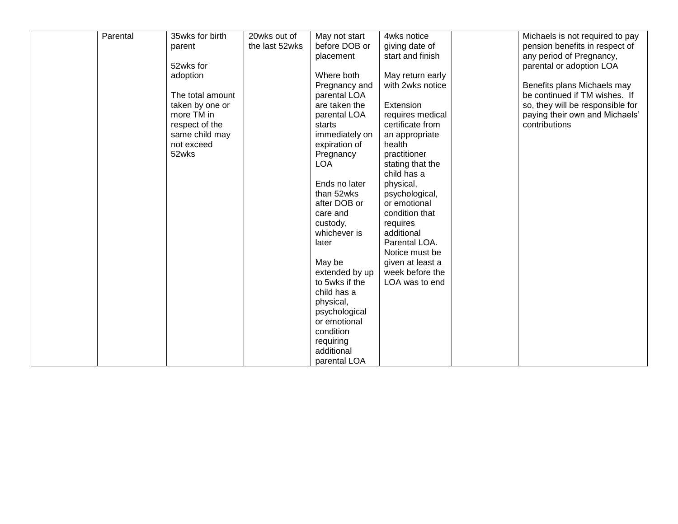| Parental | 35wks for birth  | 20wks out of   | May not start  | 4wks notice      | Michaels is not required to pay  |
|----------|------------------|----------------|----------------|------------------|----------------------------------|
|          | parent           | the last 52wks | before DOB or  | giving date of   | pension benefits in respect of   |
|          |                  |                | placement      | start and finish | any period of Pregnancy,         |
|          | 52wks for        |                |                |                  |                                  |
|          |                  |                |                |                  | parental or adoption LOA         |
|          | adoption         |                | Where both     | May return early |                                  |
|          |                  |                | Pregnancy and  | with 2wks notice | Benefits plans Michaels may      |
|          | The total amount |                | parental LOA   |                  | be continued if TM wishes. If    |
|          | taken by one or  |                | are taken the  | Extension        | so, they will be responsible for |
|          | more TM in       |                | parental LOA   | requires medical | paying their own and Michaels'   |
|          | respect of the   |                | starts         | certificate from | contributions                    |
|          | same child may   |                | immediately on | an appropriate   |                                  |
|          | not exceed       |                | expiration of  | health           |                                  |
|          | 52wks            |                | Pregnancy      | practitioner     |                                  |
|          |                  |                | <b>LOA</b>     | stating that the |                                  |
|          |                  |                |                | child has a      |                                  |
|          |                  |                | Ends no later  | physical,        |                                  |
|          |                  |                | than 52wks     | psychological,   |                                  |
|          |                  |                | after DOB or   | or emotional     |                                  |
|          |                  |                | care and       | condition that   |                                  |
|          |                  |                |                |                  |                                  |
|          |                  |                | custody,       | requires         |                                  |
|          |                  |                | whichever is   | additional       |                                  |
|          |                  |                | later          | Parental LOA.    |                                  |
|          |                  |                |                | Notice must be   |                                  |
|          |                  |                | May be         | given at least a |                                  |
|          |                  |                | extended by up | week before the  |                                  |
|          |                  |                | to 5wks if the | LOA was to end   |                                  |
|          |                  |                | child has a    |                  |                                  |
|          |                  |                | physical,      |                  |                                  |
|          |                  |                | psychological  |                  |                                  |
|          |                  |                | or emotional   |                  |                                  |
|          |                  |                | condition      |                  |                                  |
|          |                  |                | requiring      |                  |                                  |
|          |                  |                | additional     |                  |                                  |
|          |                  |                | parental LOA   |                  |                                  |
|          |                  |                |                |                  |                                  |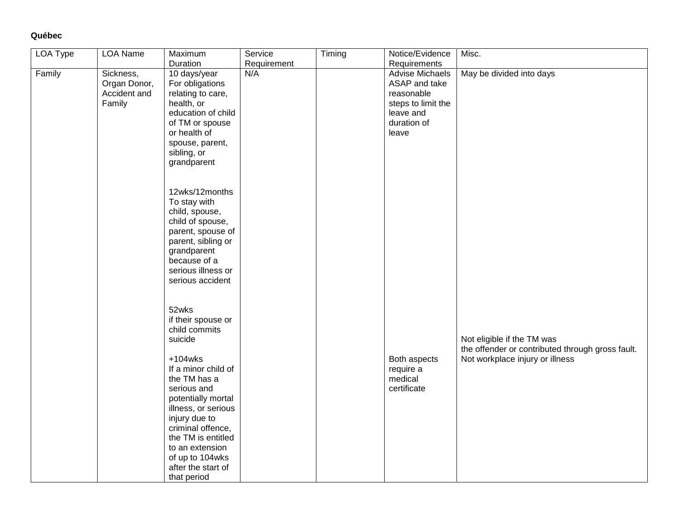# **Québec**

| <b>LOA Type</b> | <b>LOA Name</b>                                     | Maximum                                                                                                                                                                                                                                              | Service     | Timing | Notice/Evidence                                                                                                  | Misc.                                                                          |
|-----------------|-----------------------------------------------------|------------------------------------------------------------------------------------------------------------------------------------------------------------------------------------------------------------------------------------------------------|-------------|--------|------------------------------------------------------------------------------------------------------------------|--------------------------------------------------------------------------------|
|                 |                                                     | Duration                                                                                                                                                                                                                                             | Requirement |        | Requirements                                                                                                     |                                                                                |
| Family          | Sickness,<br>Organ Donor,<br>Accident and<br>Family | 10 days/year<br>For obligations<br>relating to care,<br>health, or<br>education of child<br>of TM or spouse<br>or health of<br>spouse, parent,<br>sibling, or<br>grandparent<br>12wks/12months<br>To stay with<br>child, spouse,<br>child of spouse, | N/A         |        | <b>Advise Michaels</b><br>ASAP and take<br>reasonable<br>steps to limit the<br>leave and<br>duration of<br>leave | May be divided into days                                                       |
|                 |                                                     | parent, spouse of<br>parent, sibling or<br>grandparent<br>because of a<br>serious illness or<br>serious accident<br>52wks<br>if their spouse or<br>child commits<br>suicide                                                                          |             |        |                                                                                                                  | Not eligible if the TM was<br>the offender or contributed through gross fault. |
|                 |                                                     | $+104$ wks<br>If a minor child of<br>the TM has a<br>serious and<br>potentially mortal<br>illness, or serious<br>injury due to<br>criminal offence,<br>the TM is entitled<br>to an extension<br>of up to 104wks<br>after the start of<br>that period |             |        | Both aspects<br>require a<br>medical<br>certificate                                                              | Not workplace injury or illness                                                |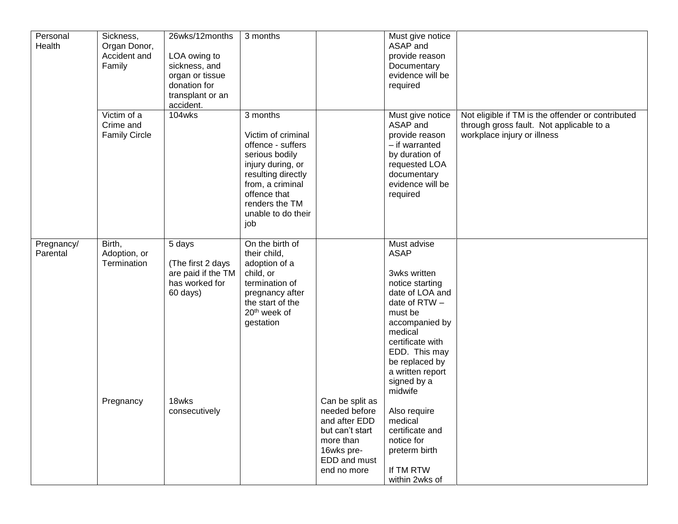| Personal<br>Health |            | Sickness,<br>Organ Donor,<br>Accident and<br>Family<br>Victim of a | 26wks/12months<br>LOA owing to<br>sickness, and<br>organ or tissue<br>donation for<br>transplant or an<br>accident.<br>104wks | 3 months<br>3 months                                                                                                                                                                    |                                                                                                                                | Must give notice<br>ASAP and<br>provide reason<br>Documentary<br>evidence will be<br>required<br>Must give notice                                                                                                                              | Not eligible if TM is the offender or contributed                       |
|--------------------|------------|--------------------------------------------------------------------|-------------------------------------------------------------------------------------------------------------------------------|-----------------------------------------------------------------------------------------------------------------------------------------------------------------------------------------|--------------------------------------------------------------------------------------------------------------------------------|------------------------------------------------------------------------------------------------------------------------------------------------------------------------------------------------------------------------------------------------|-------------------------------------------------------------------------|
|                    |            | Crime and<br><b>Family Circle</b>                                  |                                                                                                                               | Victim of criminal<br>offence - suffers<br>serious bodily<br>injury during, or<br>resulting directly<br>from, a criminal<br>offence that<br>renders the TM<br>unable to do their<br>job |                                                                                                                                | ASAP and<br>provide reason<br>- if warranted<br>by duration of<br>requested LOA<br>documentary<br>evidence will be<br>required                                                                                                                 | through gross fault. Not applicable to a<br>workplace injury or illness |
| Parental           | Pregnancy/ | Birth,<br>Adoption, or<br>Termination                              | 5 days<br>(The first 2 days<br>are paid if the TM<br>has worked for<br>60 days)                                               | On the birth of<br>their child,<br>adoption of a<br>child, or<br>termination of<br>pregnancy after<br>the start of the<br>20 <sup>th</sup> week of<br>gestation                         |                                                                                                                                | Must advise<br><b>ASAP</b><br>3wks written<br>notice starting<br>date of LOA and<br>date of RTW -<br>must be<br>accompanied by<br>medical<br>certificate with<br>EDD. This may<br>be replaced by<br>a written report<br>signed by a<br>midwife |                                                                         |
|                    |            | Pregnancy                                                          | 18wks<br>consecutively                                                                                                        |                                                                                                                                                                                         | Can be split as<br>needed before<br>and after EDD<br>but can't start<br>more than<br>16wks pre-<br>EDD and must<br>end no more | Also require<br>medical<br>certificate and<br>notice for<br>preterm birth<br>If TM RTW<br>within 2wks of                                                                                                                                       |                                                                         |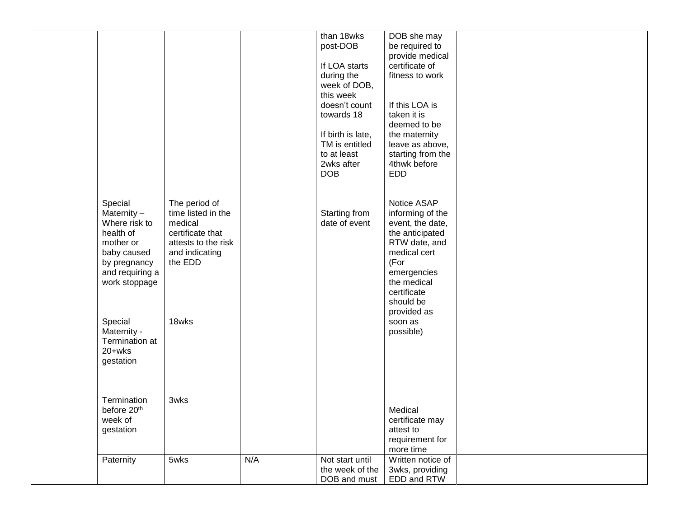|                 |                     |     | than 18wks        | DOB she may       |  |
|-----------------|---------------------|-----|-------------------|-------------------|--|
|                 |                     |     | post-DOB          | be required to    |  |
|                 |                     |     |                   | provide medical   |  |
|                 |                     |     | If LOA starts     | certificate of    |  |
|                 |                     |     | during the        | fitness to work   |  |
|                 |                     |     | week of DOB,      |                   |  |
|                 |                     |     | this week         |                   |  |
|                 |                     |     | doesn't count     | If this LOA is    |  |
|                 |                     |     | towards 18        | taken it is       |  |
|                 |                     |     |                   | deemed to be      |  |
|                 |                     |     | If birth is late, | the maternity     |  |
|                 |                     |     | TM is entitled    | leave as above,   |  |
|                 |                     |     | to at least       | starting from the |  |
|                 |                     |     | 2wks after        | 4thwk before      |  |
|                 |                     |     | <b>DOB</b>        | <b>EDD</b>        |  |
|                 |                     |     |                   |                   |  |
|                 |                     |     |                   |                   |  |
| Special         | The period of       |     |                   | Notice ASAP       |  |
| Maternity-      | time listed in the  |     | Starting from     | informing of the  |  |
| Where risk to   | medical             |     | date of event     | event, the date,  |  |
| health of       | certificate that    |     |                   | the anticipated   |  |
| mother or       | attests to the risk |     |                   | RTW date, and     |  |
| baby caused     | and indicating      |     |                   | medical cert      |  |
| by pregnancy    | the EDD             |     |                   | (For              |  |
| and requiring a |                     |     |                   | emergencies       |  |
| work stoppage   |                     |     |                   | the medical       |  |
|                 |                     |     |                   | certificate       |  |
|                 |                     |     |                   | should be         |  |
|                 |                     |     |                   | provided as       |  |
| Special         | 18wks               |     |                   | soon as           |  |
| Maternity -     |                     |     |                   | possible)         |  |
| Termination at  |                     |     |                   |                   |  |
| 20+wks          |                     |     |                   |                   |  |
| gestation       |                     |     |                   |                   |  |
|                 |                     |     |                   |                   |  |
|                 |                     |     |                   |                   |  |
|                 |                     |     |                   |                   |  |
| Termination     | 3wks                |     |                   |                   |  |
| before 20th     |                     |     |                   | Medical           |  |
| week of         |                     |     |                   | certificate may   |  |
| gestation       |                     |     |                   | attest to         |  |
|                 |                     |     |                   | requirement for   |  |
|                 |                     | N/A |                   | more time         |  |
| Paternity       | 5wks                |     | Not start until   | Written notice of |  |
|                 |                     |     | the week of the   | 3wks, providing   |  |
|                 |                     |     | DOB and must      | EDD and RTW       |  |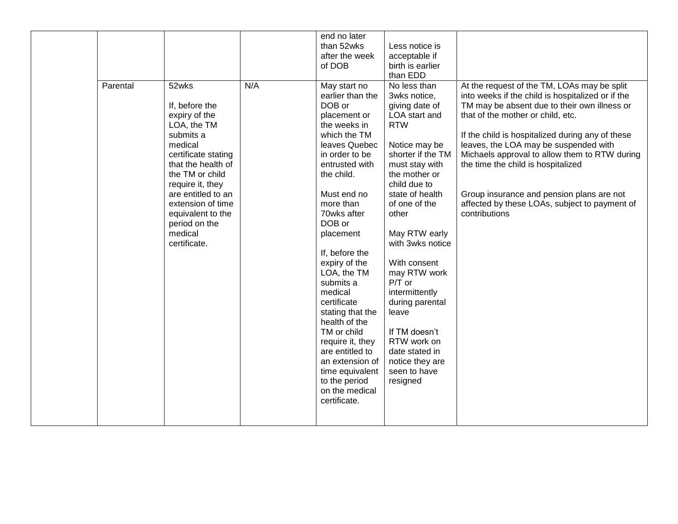| Parental | 52wks                                                                                                                                                                                                                                                                  | N/A | end no later<br>than 52wks<br>after the week<br>of DOB<br>May start no                                                                                                                                                                                                                                                                                                                                                                                                                       | Less notice is<br>acceptable if<br>birth is earlier<br>than EDD<br>No less than                                                                                                                                                                                                                                                                                                                                                     | At the request of the TM, LOAs may be split                                                                                                                                                                                                                                                                                                                                                                                               |
|----------|------------------------------------------------------------------------------------------------------------------------------------------------------------------------------------------------------------------------------------------------------------------------|-----|----------------------------------------------------------------------------------------------------------------------------------------------------------------------------------------------------------------------------------------------------------------------------------------------------------------------------------------------------------------------------------------------------------------------------------------------------------------------------------------------|-------------------------------------------------------------------------------------------------------------------------------------------------------------------------------------------------------------------------------------------------------------------------------------------------------------------------------------------------------------------------------------------------------------------------------------|-------------------------------------------------------------------------------------------------------------------------------------------------------------------------------------------------------------------------------------------------------------------------------------------------------------------------------------------------------------------------------------------------------------------------------------------|
|          | If, before the<br>expiry of the<br>LOA, the TM<br>submits a<br>medical<br>certificate stating<br>that the health of<br>the TM or child<br>require it, they<br>are entitled to an<br>extension of time<br>equivalent to the<br>period on the<br>medical<br>certificate. |     | earlier than the<br>DOB or<br>placement or<br>the weeks in<br>which the TM<br>leaves Quebec<br>in order to be<br>entrusted with<br>the child.<br>Must end no<br>more than<br>70wks after<br>DOB or<br>placement<br>If, before the<br>expiry of the<br>LOA, the TM<br>submits a<br>medical<br>certificate<br>stating that the<br>health of the<br>TM or child<br>require it, they<br>are entitled to<br>an extension of<br>time equivalent<br>to the period<br>on the medical<br>certificate. | 3wks notice,<br>giving date of<br>LOA start and<br><b>RTW</b><br>Notice may be<br>shorter if the TM<br>must stay with<br>the mother or<br>child due to<br>state of health<br>of one of the<br>other<br>May RTW early<br>with 3wks notice<br>With consent<br>may RTW work<br>$P/T$ or<br>intermittently<br>during parental<br>leave<br>If TM doesn't<br>RTW work on<br>date stated in<br>notice they are<br>seen to have<br>resigned | into weeks if the child is hospitalized or if the<br>TM may be absent due to their own illness or<br>that of the mother or child, etc.<br>If the child is hospitalized during any of these<br>leaves, the LOA may be suspended with<br>Michaels approval to allow them to RTW during<br>the time the child is hospitalized<br>Group insurance and pension plans are not<br>affected by these LOAs, subject to payment of<br>contributions |
|          |                                                                                                                                                                                                                                                                        |     |                                                                                                                                                                                                                                                                                                                                                                                                                                                                                              |                                                                                                                                                                                                                                                                                                                                                                                                                                     |                                                                                                                                                                                                                                                                                                                                                                                                                                           |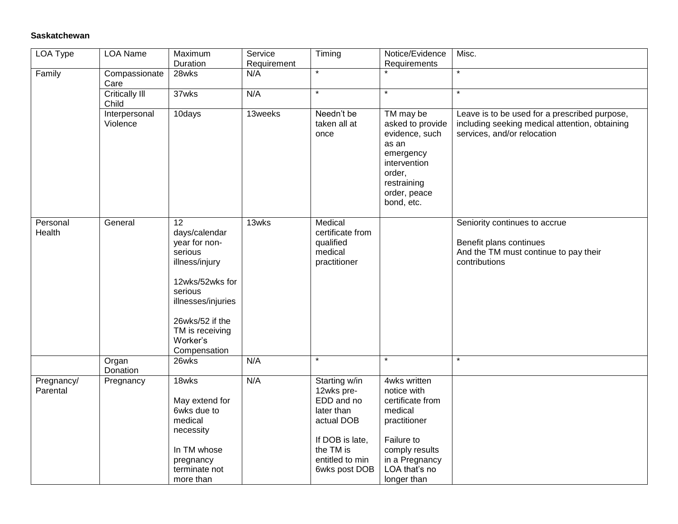#### **Saskatchewan**

| LOA Type               | <b>LOA Name</b>                | Maximum<br>Duration                                                                                                                                                                                  | Service<br>Requirement | Timing                                                                                                                                    | Notice/Evidence<br>Requirements                                                                                                                              | Misc.                                                                                                                          |
|------------------------|--------------------------------|------------------------------------------------------------------------------------------------------------------------------------------------------------------------------------------------------|------------------------|-------------------------------------------------------------------------------------------------------------------------------------------|--------------------------------------------------------------------------------------------------------------------------------------------------------------|--------------------------------------------------------------------------------------------------------------------------------|
| Family                 | Compassionate<br>Care          | 28wks                                                                                                                                                                                                | N/A                    | $\overline{\ast}$                                                                                                                         |                                                                                                                                                              | $\star$                                                                                                                        |
|                        | <b>Critically III</b><br>Child | 37wks                                                                                                                                                                                                | N/A                    | $\star$                                                                                                                                   | $\star$                                                                                                                                                      |                                                                                                                                |
|                        | Interpersonal<br>Violence      | 10days                                                                                                                                                                                               | 13weeks                | Needn't be<br>taken all at<br>once                                                                                                        | TM may be<br>asked to provide<br>evidence, such<br>as an<br>emergency<br>intervention<br>order,<br>restraining<br>order, peace<br>bond, etc.                 | Leave is to be used for a prescribed purpose,<br>including seeking medical attention, obtaining<br>services, and/or relocation |
| Personal<br>Health     | General                        | $\overline{12}$<br>days/calendar<br>year for non-<br>serious<br>illness/injury<br>12wks/52wks for<br>serious<br>illnesses/injuries<br>26wks/52 if the<br>TM is receiving<br>Worker's<br>Compensation | 13wks                  | Medical<br>certificate from<br>qualified<br>medical<br>practitioner                                                                       |                                                                                                                                                              | Seniority continues to accrue<br>Benefit plans continues<br>And the TM must continue to pay their<br>contributions             |
|                        | Organ<br>Donation              | 26wks                                                                                                                                                                                                | N/A                    | $\star$                                                                                                                                   | $\star$                                                                                                                                                      | $\star$                                                                                                                        |
| Pregnancy/<br>Parental | Pregnancy                      | 18wks<br>May extend for<br>6wks due to<br>medical<br>necessity<br>In TM whose<br>pregnancy<br>terminate not<br>more than                                                                             | N/A                    | Starting w/in<br>12wks pre-<br>EDD and no<br>later than<br>actual DOB<br>If DOB is late,<br>the TM is<br>entitled to min<br>6wks post DOB | 4wks written<br>notice with<br>certificate from<br>medical<br>practitioner<br>Failure to<br>comply results<br>in a Pregnancy<br>LOA that's no<br>longer than |                                                                                                                                |